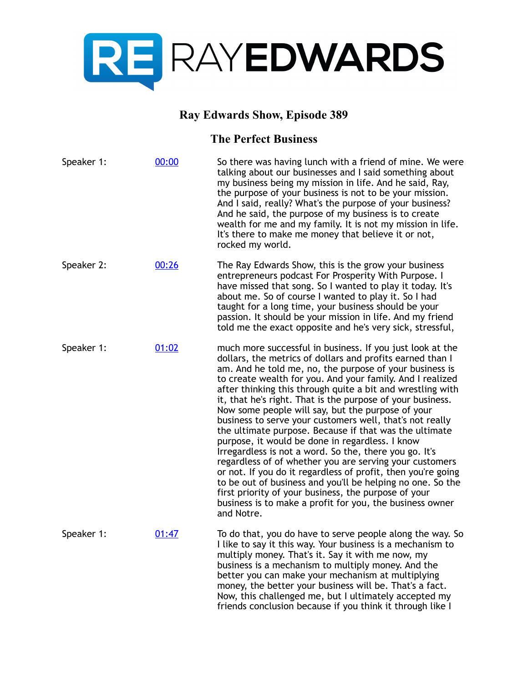

## **Ray Edwards Show, Episode 389**

## **The Perfect Business**

| Speaker 1: | 00:00 | So there was having lunch with a friend of mine. We were<br>talking about our businesses and I said something about<br>my business being my mission in life. And he said, Ray,<br>the purpose of your business is not to be your mission.<br>And I said, really? What's the purpose of your business?<br>And he said, the purpose of my business is to create<br>wealth for me and my family. It is not my mission in life.<br>It's there to make me money that believe it or not,<br>rocked my world.                                                                                                                                                                                                                                                                                                                                                                                                                                                                                        |
|------------|-------|-----------------------------------------------------------------------------------------------------------------------------------------------------------------------------------------------------------------------------------------------------------------------------------------------------------------------------------------------------------------------------------------------------------------------------------------------------------------------------------------------------------------------------------------------------------------------------------------------------------------------------------------------------------------------------------------------------------------------------------------------------------------------------------------------------------------------------------------------------------------------------------------------------------------------------------------------------------------------------------------------|
| Speaker 2: | 00:26 | The Ray Edwards Show, this is the grow your business<br>entrepreneurs podcast For Prosperity With Purpose. I<br>have missed that song. So I wanted to play it today. It's<br>about me. So of course I wanted to play it. So I had<br>taught for a long time, your business should be your<br>passion. It should be your mission in life. And my friend<br>told me the exact opposite and he's very sick, stressful,                                                                                                                                                                                                                                                                                                                                                                                                                                                                                                                                                                           |
| Speaker 1: | 01:02 | much more successful in business. If you just look at the<br>dollars, the metrics of dollars and profits earned than I<br>am. And he told me, no, the purpose of your business is<br>to create wealth for you. And your family. And I realized<br>after thinking this through quite a bit and wrestling with<br>it, that he's right. That is the purpose of your business.<br>Now some people will say, but the purpose of your<br>business to serve your customers well, that's not really<br>the ultimate purpose. Because if that was the ultimate<br>purpose, it would be done in regardless. I know<br>Irregardless is not a word. So the, there you go. It's<br>regardless of of whether you are serving your customers<br>or not. If you do it regardless of profit, then you're going<br>to be out of business and you'll be helping no one. So the<br>first priority of your business, the purpose of your<br>business is to make a profit for you, the business owner<br>and Notre. |
| Speaker 1: | 01:47 | To do that, you do have to serve people along the way. So<br>I like to say it this way. Your business is a mechanism to<br>multiply money. That's it. Say it with me now, my<br>business is a mechanism to multiply money. And the<br>better you can make your mechanism at multiplying<br>money, the better your business will be. That's a fact.<br>Now, this challenged me, but I ultimately accepted my<br>friends conclusion because if you think it through like I                                                                                                                                                                                                                                                                                                                                                                                                                                                                                                                      |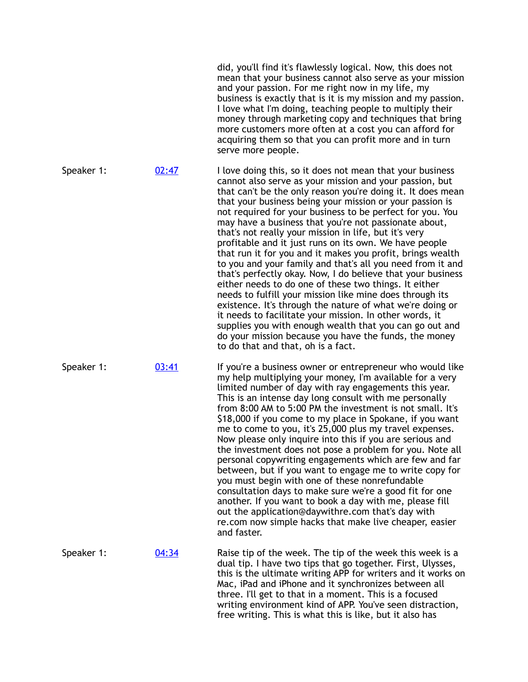|            |       | did, you'll find it's flawlessly logical. Now, this does not<br>mean that your business cannot also serve as your mission<br>and your passion. For me right now in my life, my<br>business is exactly that is it is my mission and my passion.<br>I love what I'm doing, teaching people to multiply their<br>money through marketing copy and techniques that bring<br>more customers more often at a cost you can afford for<br>acquiring them so that you can profit more and in turn<br>serve more people.                                                                                                                                                                                                                                                                                                                                                                                                                                                                                                                                                                             |
|------------|-------|--------------------------------------------------------------------------------------------------------------------------------------------------------------------------------------------------------------------------------------------------------------------------------------------------------------------------------------------------------------------------------------------------------------------------------------------------------------------------------------------------------------------------------------------------------------------------------------------------------------------------------------------------------------------------------------------------------------------------------------------------------------------------------------------------------------------------------------------------------------------------------------------------------------------------------------------------------------------------------------------------------------------------------------------------------------------------------------------|
| Speaker 1: | 02:47 | I love doing this, so it does not mean that your business<br>cannot also serve as your mission and your passion, but<br>that can't be the only reason you're doing it. It does mean<br>that your business being your mission or your passion is<br>not required for your business to be perfect for you. You<br>may have a business that you're not passionate about,<br>that's not really your mission in life, but it's very<br>profitable and it just runs on its own. We have people<br>that run it for you and it makes you profit, brings wealth<br>to you and your family and that's all you need from it and<br>that's perfectly okay. Now, I do believe that your business<br>either needs to do one of these two things. It either<br>needs to fulfill your mission like mine does through its<br>existence. It's through the nature of what we're doing or<br>it needs to facilitate your mission. In other words, it<br>supplies you with enough wealth that you can go out and<br>do your mission because you have the funds, the money<br>to do that and that, oh is a fact. |
| Speaker 1: | 03:41 | If you're a business owner or entrepreneur who would like<br>my help multiplying your money, I'm available for a very<br>limited number of day with ray engagements this year.<br>This is an intense day long consult with me personally<br>from 8:00 AM to 5:00 PM the investment is not small. It's<br>\$18,000 if you come to my place in Spokane, if you want<br>me to come to you, it's 25,000 plus my travel expenses.<br>Now please only inquire into this if you are serious and<br>the investment does not pose a problem for you. Note all<br>personal copywriting engagements which are few and far<br>between, but if you want to engage me to write copy for<br>you must begin with one of these nonrefundable<br>consultation days to make sure we're a good fit for one<br>another. If you want to book a day with me, please fill<br>out the application@daywithre.com that's day with<br>re.com now simple hacks that make live cheaper, easier<br>and faster.                                                                                                            |
| Speaker 1: | 04:34 | Raise tip of the week. The tip of the week this week is a<br>dual tip. I have two tips that go together. First, Ulysses,<br>this is the ultimate writing APP for writers and it works on<br>Mac, iPad and iPhone and it synchronizes between all<br>three. I'll get to that in a moment. This is a focused<br>writing environment kind of APP. You've seen distraction,<br>free writing. This is what this is like, but it also has                                                                                                                                                                                                                                                                                                                                                                                                                                                                                                                                                                                                                                                        |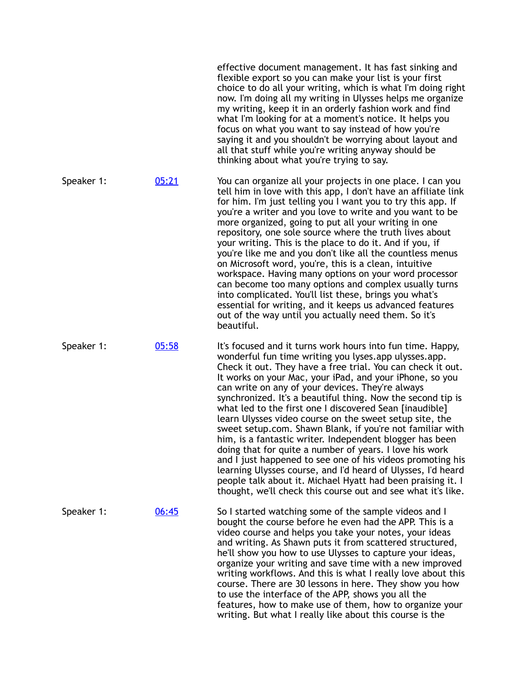|            |       | effective document management. It has fast sinking and<br>flexible export so you can make your list is your first<br>choice to do all your writing, which is what I'm doing right<br>now. I'm doing all my writing in Ulysses helps me organize<br>my writing, keep it in an orderly fashion work and find<br>what I'm looking for at a moment's notice. It helps you<br>focus on what you want to say instead of how you're<br>saying it and you shouldn't be worrying about layout and<br>all that stuff while you're writing anyway should be<br>thinking about what you're trying to say.                                                                                                                                                                                                                                                                                                                                            |
|------------|-------|------------------------------------------------------------------------------------------------------------------------------------------------------------------------------------------------------------------------------------------------------------------------------------------------------------------------------------------------------------------------------------------------------------------------------------------------------------------------------------------------------------------------------------------------------------------------------------------------------------------------------------------------------------------------------------------------------------------------------------------------------------------------------------------------------------------------------------------------------------------------------------------------------------------------------------------|
| Speaker 1: | 05:21 | You can organize all your projects in one place. I can you<br>tell him in love with this app, I don't have an affiliate link<br>for him. I'm just telling you I want you to try this app. If<br>you're a writer and you love to write and you want to be<br>more organized, going to put all your writing in one<br>repository, one sole source where the truth lives about<br>your writing. This is the place to do it. And if you, if<br>you're like me and you don't like all the countless menus<br>on Microsoft word, you're, this is a clean, intuitive<br>workspace. Having many options on your word processor<br>can become too many options and complex usually turns<br>into complicated. You'll list these, brings you what's<br>essential for writing, and it keeps us advanced features<br>out of the way until you actually need them. So it's<br>beautiful.                                                              |
| Speaker 1: | 05:58 | It's focused and it turns work hours into fun time. Happy,<br>wonderful fun time writing you lyses.app ulysses.app.<br>Check it out. They have a free trial. You can check it out.<br>It works on your Mac, your iPad, and your iPhone, so you<br>can write on any of your devices. They're always<br>synchronized. It's a beautiful thing. Now the second tip is<br>what led to the first one I discovered Sean [inaudible]<br>learn Ulysses video course on the sweet setup site, the<br>sweet setup.com. Shawn Blank, if you're not familiar with<br>him, is a fantastic writer. Independent blogger has been<br>doing that for quite a number of years. I love his work<br>and I just happened to see one of his videos promoting his<br>learning Ulysses course, and I'd heard of Ulysses, I'd heard<br>people talk about it. Michael Hyatt had been praising it. I<br>thought, we'll check this course out and see what it's like. |
| Speaker 1: | 06:45 | So I started watching some of the sample videos and I<br>bought the course before he even had the APP. This is a<br>video course and helps you take your notes, your ideas<br>and writing. As Shawn puts it from scattered structured,<br>he'll show you how to use Ulysses to capture your ideas,<br>organize your writing and save time with a new improved<br>writing workflows. And this is what I really love about this<br>course. There are 30 lessons in here. They show you how<br>to use the interface of the APP, shows you all the<br>features, how to make use of them, how to organize your<br>writing. But what I really like about this course is the                                                                                                                                                                                                                                                                    |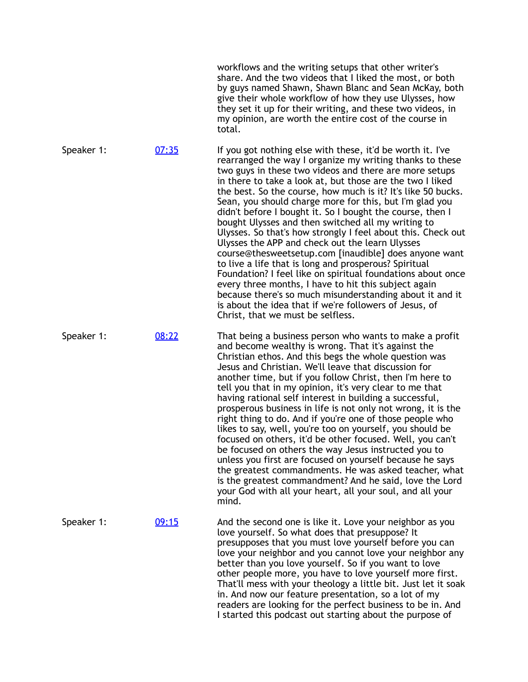|            |       | workflows and the writing setups that other writer's<br>share. And the two videos that I liked the most, or both<br>by guys named Shawn, Shawn Blanc and Sean McKay, both<br>give their whole workflow of how they use Ulysses, how<br>they set it up for their writing, and these two videos, in<br>my opinion, are worth the entire cost of the course in<br>total.                                                                                                                                                                                                                                                                                                                                                                                                                                                                                                                                                                                                                                              |
|------------|-------|--------------------------------------------------------------------------------------------------------------------------------------------------------------------------------------------------------------------------------------------------------------------------------------------------------------------------------------------------------------------------------------------------------------------------------------------------------------------------------------------------------------------------------------------------------------------------------------------------------------------------------------------------------------------------------------------------------------------------------------------------------------------------------------------------------------------------------------------------------------------------------------------------------------------------------------------------------------------------------------------------------------------|
| Speaker 1: | 07:35 | If you got nothing else with these, it'd be worth it. I've<br>rearranged the way I organize my writing thanks to these<br>two guys in these two videos and there are more setups<br>in there to take a look at, but those are the two I liked<br>the best. So the course, how much is it? It's like 50 bucks.<br>Sean, you should charge more for this, but I'm glad you<br>didn't before I bought it. So I bought the course, then I<br>bought Ulysses and then switched all my writing to<br>Ulysses. So that's how strongly I feel about this. Check out<br>Ulysses the APP and check out the learn Ulysses<br>course@thesweetsetup.com [inaudible] does anyone want<br>to live a life that is long and prosperous? Spiritual<br>Foundation? I feel like on spiritual foundations about once<br>every three months, I have to hit this subject again<br>because there's so much misunderstanding about it and it<br>is about the idea that if we're followers of Jesus, of<br>Christ, that we must be selfless. |
| Speaker 1: | 08:22 | That being a business person who wants to make a profit<br>and become wealthy is wrong. That it's against the<br>Christian ethos. And this begs the whole question was<br>Jesus and Christian. We'll leave that discussion for<br>another time, but if you follow Christ, then I'm here to<br>tell you that in my opinion, it's very clear to me that<br>having rational self interest in building a successful,<br>prosperous business in life is not only not wrong, it is the<br>right thing to do. And if you're one of those people who<br>likes to say, well, you're too on yourself, you should be<br>focused on others, it'd be other focused. Well, you can't<br>be focused on others the way Jesus instructed you to<br>unless you first are focused on yourself because he says<br>the greatest commandments. He was asked teacher, what<br>is the greatest commandment? And he said, love the Lord<br>your God with all your heart, all your soul, and all your<br>mind.                               |
| Speaker 1: | 09:15 | And the second one is like it. Love your neighbor as you<br>love yourself. So what does that presuppose? It<br>presupposes that you must love yourself before you can<br>love your neighbor and you cannot love your neighbor any<br>better than you love yourself. So if you want to love<br>other people more, you have to love yourself more first.<br>That'll mess with your theology a little bit. Just let it soak<br>in. And now our feature presentation, so a lot of my<br>readers are looking for the perfect business to be in. And<br>I started this podcast out starting about the purpose of                                                                                                                                                                                                                                                                                                                                                                                                         |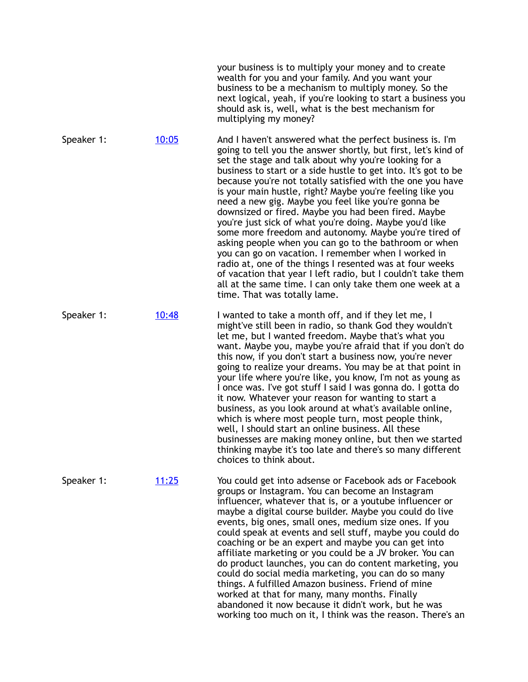|            |       | your business is to multiply your money and to create<br>wealth for you and your family. And you want your<br>business to be a mechanism to multiply money. So the<br>next logical, yeah, if you're looking to start a business you<br>should ask is, well, what is the best mechanism for<br>multiplying my money?                                                                                                                                                                                                                                                                                                                                                                                                                                                                                                                                                                                                                                        |
|------------|-------|------------------------------------------------------------------------------------------------------------------------------------------------------------------------------------------------------------------------------------------------------------------------------------------------------------------------------------------------------------------------------------------------------------------------------------------------------------------------------------------------------------------------------------------------------------------------------------------------------------------------------------------------------------------------------------------------------------------------------------------------------------------------------------------------------------------------------------------------------------------------------------------------------------------------------------------------------------|
| Speaker 1: | 10:05 | And I haven't answered what the perfect business is. I'm<br>going to tell you the answer shortly, but first, let's kind of<br>set the stage and talk about why you're looking for a<br>business to start or a side hustle to get into. It's got to be<br>because you're not totally satisfied with the one you have<br>is your main hustle, right? Maybe you're feeling like you<br>need a new gig. Maybe you feel like you're gonna be<br>downsized or fired. Maybe you had been fired. Maybe<br>you're just sick of what you're doing. Maybe you'd like<br>some more freedom and autonomy. Maybe you're tired of<br>asking people when you can go to the bathroom or when<br>you can go on vacation. I remember when I worked in<br>radio at, one of the things I resented was at four weeks<br>of vacation that year I left radio, but I couldn't take them<br>all at the same time. I can only take them one week at a<br>time. That was totally lame. |
| Speaker 1: | 10:48 | I wanted to take a month off, and if they let me, I<br>might've still been in radio, so thank God they wouldn't<br>let me, but I wanted freedom. Maybe that's what you<br>want. Maybe you, maybe you're afraid that if you don't do<br>this now, if you don't start a business now, you're never<br>going to realize your dreams. You may be at that point in<br>your life where you're like, you know, I'm not as young as<br>I once was. I've got stuff I said I was gonna do. I gotta do<br>it now. Whatever your reason for wanting to start a<br>business, as you look around at what's available online,<br>which is where most people turn, most people think,<br>well, I should start an online business. All these<br>businesses are making money online, but then we started<br>thinking maybe it's too late and there's so many different<br>choices to think about.                                                                            |
| Speaker 1: | 11:25 | You could get into adsense or Facebook ads or Facebook<br>groups or Instagram. You can become an Instagram<br>influencer, whatever that is, or a youtube influencer or<br>maybe a digital course builder. Maybe you could do live<br>events, big ones, small ones, medium size ones. If you<br>could speak at events and sell stuff, maybe you could do<br>coaching or be an expert and maybe you can get into<br>affiliate marketing or you could be a JV broker. You can<br>do product launches, you can do content marketing, you<br>could do social media marketing, you can do so many<br>things. A fulfilled Amazon business. Friend of mine<br>worked at that for many, many months. Finally<br>abandoned it now because it didn't work, but he was<br>working too much on it, I think was the reason. There's an                                                                                                                                   |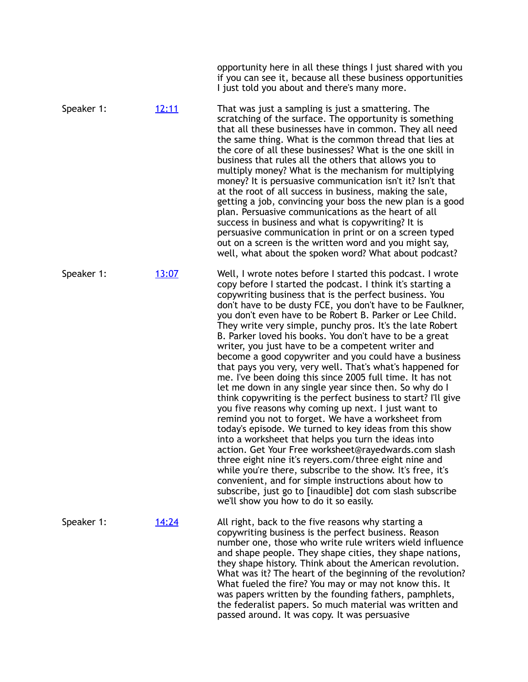|            |              | opportunity here in all these things I just shared with you<br>if you can see it, because all these business opportunities<br>I just told you about and there's many more.                                                                                                                                                                                                                                                                                                                                                                                                                                                                                                                                                                                                                                                                                                                                                                                                                                                                                                                                                                                                                                                                                                                                                                                                            |
|------------|--------------|---------------------------------------------------------------------------------------------------------------------------------------------------------------------------------------------------------------------------------------------------------------------------------------------------------------------------------------------------------------------------------------------------------------------------------------------------------------------------------------------------------------------------------------------------------------------------------------------------------------------------------------------------------------------------------------------------------------------------------------------------------------------------------------------------------------------------------------------------------------------------------------------------------------------------------------------------------------------------------------------------------------------------------------------------------------------------------------------------------------------------------------------------------------------------------------------------------------------------------------------------------------------------------------------------------------------------------------------------------------------------------------|
| Speaker 1: | <u>12:11</u> | That was just a sampling is just a smattering. The<br>scratching of the surface. The opportunity is something<br>that all these businesses have in common. They all need<br>the same thing. What is the common thread that lies at<br>the core of all these businesses? What is the one skill in<br>business that rules all the others that allows you to<br>multiply money? What is the mechanism for multiplying<br>money? It is persuasive communication isn't it? Isn't that<br>at the root of all success in business, making the sale,<br>getting a job, convincing your boss the new plan is a good<br>plan. Persuasive communications as the heart of all<br>success in business and what is copywriting? It is<br>persuasive communication in print or on a screen typed<br>out on a screen is the written word and you might say,<br>well, what about the spoken word? What about podcast?                                                                                                                                                                                                                                                                                                                                                                                                                                                                                  |
| Speaker 1: | 13:07        | Well, I wrote notes before I started this podcast. I wrote<br>copy before I started the podcast. I think it's starting a<br>copywriting business that is the perfect business. You<br>don't have to be dusty FCE, you don't have to be Faulkner,<br>you don't even have to be Robert B. Parker or Lee Child.<br>They write very simple, punchy pros. It's the late Robert<br>B. Parker loved his books. You don't have to be a great<br>writer, you just have to be a competent writer and<br>become a good copywriter and you could have a business<br>that pays you very, very well. That's what's happened for<br>me. I've been doing this since 2005 full time. It has not<br>let me down in any single year since then. So why do I<br>think copywriting is the perfect business to start? I'll give<br>you five reasons why coming up next. I just want to<br>remind you not to forget. We have a worksheet from<br>today's episode. We turned to key ideas from this show<br>into a worksheet that helps you turn the ideas into<br>action. Get Your Free worksheet@rayedwards.com slash<br>three eight nine it's reyers.com/three eight nine and<br>while you're there, subscribe to the show. It's free, it's<br>convenient, and for simple instructions about how to<br>subscribe, just go to [inaudible] dot com slash subscribe<br>we'll show you how to do it so easily. |
| Speaker 1: | <u>14:24</u> | All right, back to the five reasons why starting a<br>copywriting business is the perfect business. Reason<br>number one, those who write rule writers wield influence<br>and shape people. They shape cities, they shape nations,<br>they shape history. Think about the American revolution.<br>What was it? The heart of the beginning of the revolution?<br>What fueled the fire? You may or may not know this. It<br>was papers written by the founding fathers, pamphlets,<br>the federalist papers. So much material was written and<br>passed around. It was copy. It was persuasive                                                                                                                                                                                                                                                                                                                                                                                                                                                                                                                                                                                                                                                                                                                                                                                          |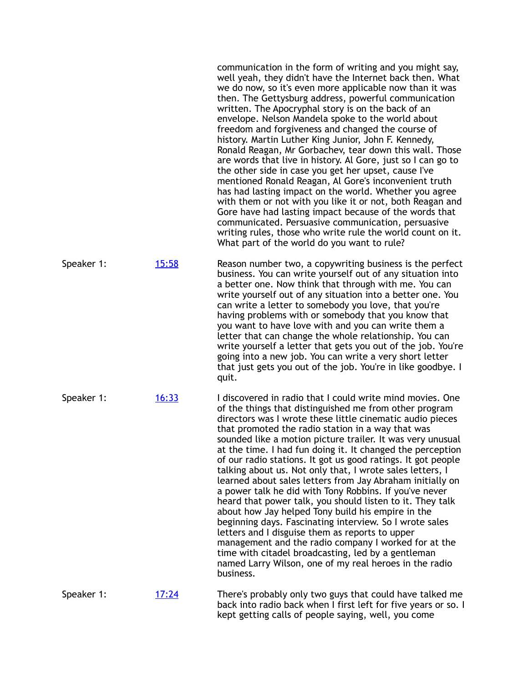|            |              | communication in the form of writing and you might say,<br>well yeah, they didn't have the Internet back then. What<br>we do now, so it's even more applicable now than it was<br>then. The Gettysburg address, powerful communication<br>written. The Apocryphal story is on the back of an<br>envelope. Nelson Mandela spoke to the world about<br>freedom and forgiveness and changed the course of<br>history. Martin Luther King Junior, John F. Kennedy,<br>Ronald Reagan, Mr Gorbachev, tear down this wall. Those<br>are words that live in history. Al Gore, just so I can go to<br>the other side in case you get her upset, cause I've<br>mentioned Ronald Reagan, Al Gore's inconvenient truth<br>has had lasting impact on the world. Whether you agree<br>with them or not with you like it or not, both Reagan and<br>Gore have had lasting impact because of the words that<br>communicated. Persuasive communication, persuasive<br>writing rules, those who write rule the world count on it.<br>What part of the world do you want to rule? |
|------------|--------------|----------------------------------------------------------------------------------------------------------------------------------------------------------------------------------------------------------------------------------------------------------------------------------------------------------------------------------------------------------------------------------------------------------------------------------------------------------------------------------------------------------------------------------------------------------------------------------------------------------------------------------------------------------------------------------------------------------------------------------------------------------------------------------------------------------------------------------------------------------------------------------------------------------------------------------------------------------------------------------------------------------------------------------------------------------------|
| Speaker 1: | 15:58        | Reason number two, a copywriting business is the perfect<br>business. You can write yourself out of any situation into<br>a better one. Now think that through with me. You can<br>write yourself out of any situation into a better one. You<br>can write a letter to somebody you love, that you're<br>having problems with or somebody that you know that<br>you want to have love with and you can write them a<br>letter that can change the whole relationship. You can<br>write yourself a letter that gets you out of the job. You're<br>going into a new job. You can write a very short letter<br>that just gets you out of the job. You're in like goodbye. I<br>quit.                                                                                                                                                                                                                                                                                                                                                                              |
| Speaker 1: | <u>16:33</u> | I discovered in radio that I could write mind movies. One<br>of the things that distinguished me from other program<br>directors was I wrote these little cinematic audio pieces<br>that promoted the radio station in a way that was<br>sounded like a motion picture trailer. It was very unusual<br>at the time. I had fun doing it. It changed the perception<br>of our radio stations. It got us good ratings. It got people<br>talking about us. Not only that, I wrote sales letters, I<br>learned about sales letters from Jay Abraham initially on<br>a power talk he did with Tony Robbins. If you've never<br>heard that power talk, you should listen to it. They talk<br>about how Jay helped Tony build his empire in the<br>beginning days. Fascinating interview. So I wrote sales<br>letters and I disguise them as reports to upper<br>management and the radio company I worked for at the<br>time with citadel broadcasting, led by a gentleman<br>named Larry Wilson, one of my real heroes in the radio<br>business.                     |
| Speaker 1: | <u>17:24</u> | There's probably only two guys that could have talked me<br>back into radio back when I first left for five years or so. I<br>kept getting calls of people saying, well, you come                                                                                                                                                                                                                                                                                                                                                                                                                                                                                                                                                                                                                                                                                                                                                                                                                                                                              |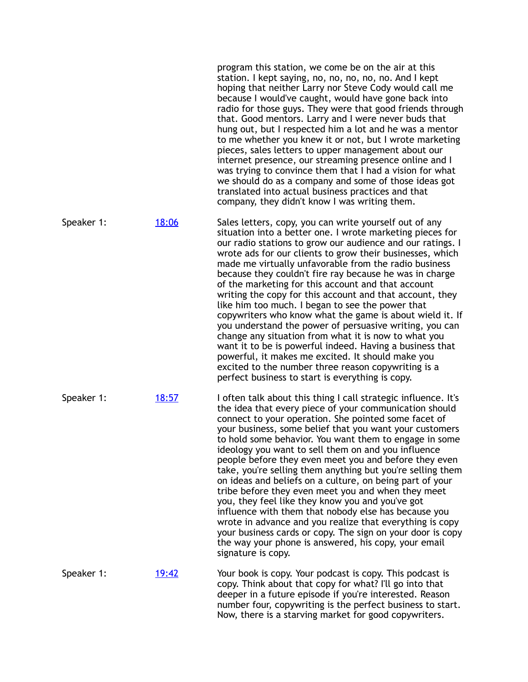|            |              | program this station, we come be on the air at this<br>station. I kept saying, no, no, no, no, no. And I kept<br>hoping that neither Larry nor Steve Cody would call me<br>because I would've caught, would have gone back into<br>radio for those guys. They were that good friends through<br>that. Good mentors. Larry and I were never buds that<br>hung out, but I respected him a lot and he was a mentor<br>to me whether you knew it or not, but I wrote marketing<br>pieces, sales letters to upper management about our<br>internet presence, our streaming presence online and I<br>was trying to convince them that I had a vision for what<br>we should do as a company and some of those ideas got<br>translated into actual business practices and that<br>company, they didn't know I was writing them.                                                                                                                             |
|------------|--------------|-----------------------------------------------------------------------------------------------------------------------------------------------------------------------------------------------------------------------------------------------------------------------------------------------------------------------------------------------------------------------------------------------------------------------------------------------------------------------------------------------------------------------------------------------------------------------------------------------------------------------------------------------------------------------------------------------------------------------------------------------------------------------------------------------------------------------------------------------------------------------------------------------------------------------------------------------------|
| Speaker 1: | 18:06        | Sales letters, copy, you can write yourself out of any<br>situation into a better one. I wrote marketing pieces for<br>our radio stations to grow our audience and our ratings. I<br>wrote ads for our clients to grow their businesses, which<br>made me virtually unfavorable from the radio business<br>because they couldn't fire ray because he was in charge<br>of the marketing for this account and that account<br>writing the copy for this account and that account, they<br>like him too much. I began to see the power that<br>copywriters who know what the game is about wield it. If<br>you understand the power of persuasive writing, you can<br>change any situation from what it is now to what you<br>want it to be is powerful indeed. Having a business that<br>powerful, it makes me excited. It should make you<br>excited to the number three reason copywriting is a<br>perfect business to start is everything is copy. |
| Speaker 1: | 18:57        | I often talk about this thing I call strategic influence. It's<br>the idea that every piece of your communication should<br>connect to your operation. She pointed some facet of<br>your business, some belief that you want your customers<br>to hold some behavior. You want them to engage in some<br>ideology you want to sell them on and you influence<br>people before they even meet you and before they even<br>take, you're selling them anything but you're selling them<br>on ideas and beliefs on a culture, on being part of your<br>tribe before they even meet you and when they meet<br>you, they feel like they know you and you've got<br>influence with them that nobody else has because you<br>wrote in advance and you realize that everything is copy<br>your business cards or copy. The sign on your door is copy<br>the way your phone is answered, his copy, your email<br>signature is copy.                           |
| Speaker 1: | <u>19:42</u> | Your book is copy. Your podcast is copy. This podcast is<br>copy. Think about that copy for what? I'll go into that<br>deeper in a future episode if you're interested. Reason<br>number four, copywriting is the perfect business to start.<br>Now, there is a starving market for good copywriters.                                                                                                                                                                                                                                                                                                                                                                                                                                                                                                                                                                                                                                               |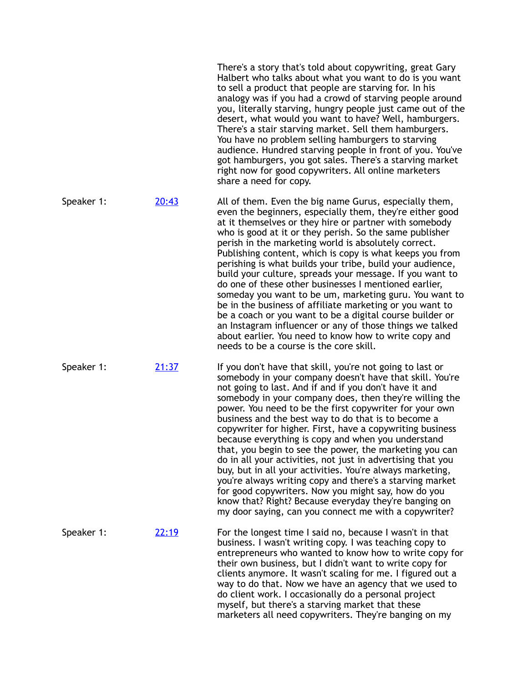|            |       | There's a story that's told about copywriting, great Gary<br>Halbert who talks about what you want to do is you want<br>to sell a product that people are starving for. In his<br>analogy was if you had a crowd of starving people around<br>you, literally starving, hungry people just came out of the<br>desert, what would you want to have? Well, hamburgers.<br>There's a stair starving market. Sell them hamburgers.<br>You have no problem selling hamburgers to starving<br>audience. Hundred starving people in front of you. You've<br>got hamburgers, you got sales. There's a starving market<br>right now for good copywriters. All online marketers<br>share a need for copy.                                                                                                                                                                                                              |
|------------|-------|-------------------------------------------------------------------------------------------------------------------------------------------------------------------------------------------------------------------------------------------------------------------------------------------------------------------------------------------------------------------------------------------------------------------------------------------------------------------------------------------------------------------------------------------------------------------------------------------------------------------------------------------------------------------------------------------------------------------------------------------------------------------------------------------------------------------------------------------------------------------------------------------------------------|
| Speaker 1: | 20:43 | All of them. Even the big name Gurus, especially them,<br>even the beginners, especially them, they're either good<br>at it themselves or they hire or partner with somebody<br>who is good at it or they perish. So the same publisher<br>perish in the marketing world is absolutely correct.<br>Publishing content, which is copy is what keeps you from<br>perishing is what builds your tribe, build your audience,<br>build your culture, spreads your message. If you want to<br>do one of these other businesses I mentioned earlier,<br>someday you want to be um, marketing guru. You want to<br>be in the business of affiliate marketing or you want to<br>be a coach or you want to be a digital course builder or<br>an Instagram influencer or any of those things we talked<br>about earlier. You need to know how to write copy and<br>needs to be a course is the core skill.             |
| Speaker 1: | 21:37 | If you don't have that skill, you're not going to last or<br>somebody in your company doesn't have that skill. You're<br>not going to last. And if and if you don't have it and<br>somebody in your company does, then they're willing the<br>power. You need to be the first copywriter for your own<br>business and the best way to do that is to become a<br>copywriter for higher. First, have a copywriting business<br>because everything is copy and when you understand<br>that, you begin to see the power, the marketing you can<br>do in all your activities, not just in advertising that you<br>buy, but in all your activities. You're always marketing,<br>you're always writing copy and there's a starving market<br>for good copywriters. Now you might say, how do you<br>know that? Right? Because everyday they're banging on<br>my door saying, can you connect me with a copywriter? |
| Speaker 1: | 22:19 | For the longest time I said no, because I wasn't in that<br>business. I wasn't writing copy. I was teaching copy to<br>entrepreneurs who wanted to know how to write copy for<br>their own business, but I didn't want to write copy for<br>clients anymore. It wasn't scaling for me. I figured out a<br>way to do that. Now we have an agency that we used to<br>do client work. I occasionally do a personal project<br>myself, but there's a starving market that these                                                                                                                                                                                                                                                                                                                                                                                                                                 |

marketers all need copywriters. They're banging on my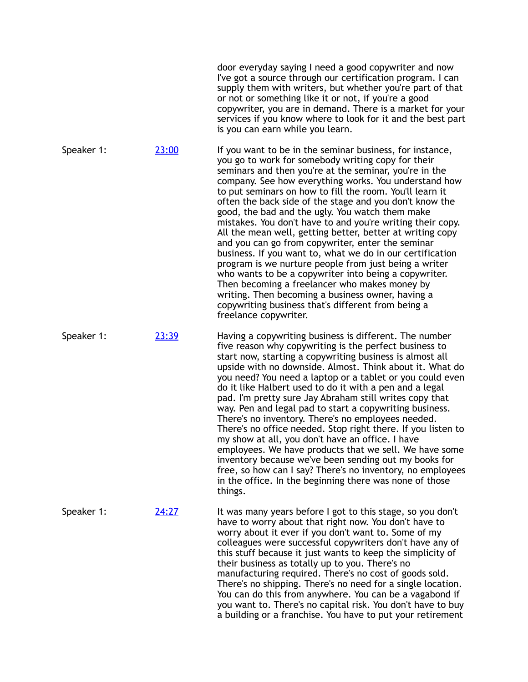|            |       | door everyday saying I need a good copywriter and now<br>I've got a source through our certification program. I can<br>supply them with writers, but whether you're part of that<br>or not or something like it or not, if you're a good<br>copywriter, you are in demand. There is a market for your<br>services if you know where to look for it and the best part<br>is you can earn while you learn.                                                                                                                                                                                                                                                                                                                                                                                                                                                                                                                                                        |
|------------|-------|-----------------------------------------------------------------------------------------------------------------------------------------------------------------------------------------------------------------------------------------------------------------------------------------------------------------------------------------------------------------------------------------------------------------------------------------------------------------------------------------------------------------------------------------------------------------------------------------------------------------------------------------------------------------------------------------------------------------------------------------------------------------------------------------------------------------------------------------------------------------------------------------------------------------------------------------------------------------|
| Speaker 1: | 23:00 | If you want to be in the seminar business, for instance,<br>you go to work for somebody writing copy for their<br>seminars and then you're at the seminar, you're in the<br>company. See how everything works. You understand how<br>to put seminars on how to fill the room. You'll learn it<br>often the back side of the stage and you don't know the<br>good, the bad and the ugly. You watch them make<br>mistakes. You don't have to and you're writing their copy.<br>All the mean well, getting better, better at writing copy<br>and you can go from copywriter, enter the seminar<br>business. If you want to, what we do in our certification<br>program is we nurture people from just being a writer<br>who wants to be a copywriter into being a copywriter.<br>Then becoming a freelancer who makes money by<br>writing. Then becoming a business owner, having a<br>copywriting business that's different from being a<br>freelance copywriter. |
| Speaker 1: | 23:39 | Having a copywriting business is different. The number<br>five reason why copywriting is the perfect business to<br>start now, starting a copywriting business is almost all<br>upside with no downside. Almost. Think about it. What do<br>you need? You need a laptop or a tablet or you could even<br>do it like Halbert used to do it with a pen and a legal<br>pad. I'm pretty sure Jay Abraham still writes copy that<br>way. Pen and legal pad to start a copywriting business.<br>There's no inventory. There's no employees needed.<br>There's no office needed. Stop right there. If you listen to<br>my show at all, you don't have an office. I have<br>employees. We have products that we sell. We have some<br>inventory because we've been sending out my books for<br>free, so how can I say? There's no inventory, no employees<br>in the office. In the beginning there was none of those<br>things.                                         |
| Speaker 1: | 24:27 | It was many years before I got to this stage, so you don't<br>have to worry about that right now. You don't have to<br>worry about it ever if you don't want to. Some of my<br>colleagues were successful copywriters don't have any of<br>this stuff because it just wants to keep the simplicity of<br>their business as totally up to you. There's no<br>manufacturing required. There's no cost of goods sold.<br>There's no shipping. There's no need for a single location.<br>You can do this from anywhere. You can be a vagabond if<br>you want to. There's no capital risk. You don't have to buy<br>a building or a franchise. You have to put your retirement                                                                                                                                                                                                                                                                                       |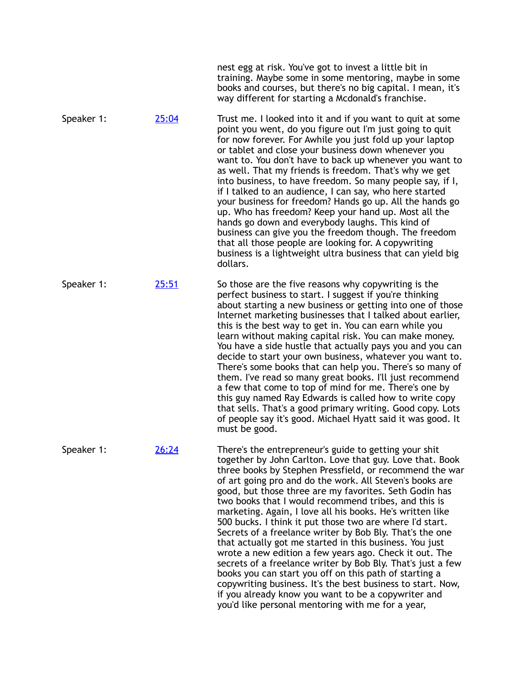|            |              | nest egg at risk. You've got to invest a little bit in<br>training. Maybe some in some mentoring, maybe in some<br>books and courses, but there's no big capital. I mean, it's<br>way different for starting a Mcdonald's franchise.                                                                                                                                                                                                                                                                                                                                                                                                                                                                                                                                                                                                                                                                                                                                     |
|------------|--------------|--------------------------------------------------------------------------------------------------------------------------------------------------------------------------------------------------------------------------------------------------------------------------------------------------------------------------------------------------------------------------------------------------------------------------------------------------------------------------------------------------------------------------------------------------------------------------------------------------------------------------------------------------------------------------------------------------------------------------------------------------------------------------------------------------------------------------------------------------------------------------------------------------------------------------------------------------------------------------|
| Speaker 1: | 25:04        | Trust me. I looked into it and if you want to quit at some<br>point you went, do you figure out I'm just going to quit<br>for now forever. For Awhile you just fold up your laptop<br>or tablet and close your business down whenever you<br>want to. You don't have to back up whenever you want to<br>as well. That my friends is freedom. That's why we get<br>into business, to have freedom. So many people say, if I,<br>if I talked to an audience, I can say, who here started<br>your business for freedom? Hands go up. All the hands go<br>up. Who has freedom? Keep your hand up. Most all the<br>hands go down and everybody laughs. This kind of<br>business can give you the freedom though. The freedom<br>that all those people are looking for. A copywriting<br>business is a lightweight ultra business that can yield big<br>dollars.                                                                                                               |
| Speaker 1: | <u>25:51</u> | So those are the five reasons why copywriting is the<br>perfect business to start. I suggest if you're thinking<br>about starting a new business or getting into one of those<br>Internet marketing businesses that I talked about earlier,<br>this is the best way to get in. You can earn while you<br>learn without making capital risk. You can make money.<br>You have a side hustle that actually pays you and you can<br>decide to start your own business, whatever you want to.<br>There's some books that can help you. There's so many of<br>them. I've read so many great books. I'll just recommend<br>a few that come to top of mind for me. There's one by<br>this guy named Ray Edwards is called how to write copy<br>that sells. That's a good primary writing. Good copy. Lots<br>of people say it's good. Michael Hyatt said it was good. It<br>must be good.                                                                                        |
| Speaker 1: | 26:24        | There's the entrepreneur's guide to getting your shit<br>together by John Carlton. Love that guy. Love that. Book<br>three books by Stephen Pressfield, or recommend the war<br>of art going pro and do the work. All Steven's books are<br>good, but those three are my favorites. Seth Godin has<br>two books that I would recommend tribes, and this is<br>marketing. Again, I love all his books. He's written like<br>500 bucks. I think it put those two are where I'd start.<br>Secrets of a freelance writer by Bob Bly. That's the one<br>that actually got me started in this business. You just<br>wrote a new edition a few years ago. Check it out. The<br>secrets of a freelance writer by Bob Bly. That's just a few<br>books you can start you off on this path of starting a<br>copywriting business. It's the best business to start. Now,<br>if you already know you want to be a copywriter and<br>you'd like personal mentoring with me for a year, |